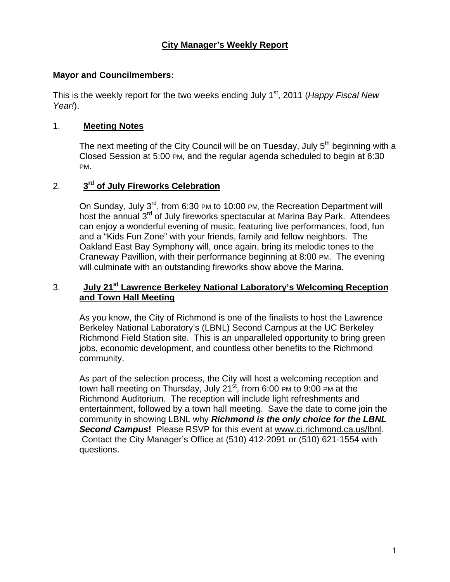#### **Mayor and Councilmembers:**

This is the weekly report for the two weeks ending July 1<sup>st</sup>, 2011 (*Happy Fiscal New Year!*).

### 1. **Meeting Notes**

The next meeting of the City Council will be on Tuesday, July  $5<sup>th</sup>$  beginning with a Closed Session at 5:00 PM, and the regular agenda scheduled to begin at 6:30 PM.

#### 2. **3rd of July Fireworks Celebration**

On Sunday, July 3<sup>rd</sup>, from 6:30 PM to 10:00 PM, the Recreation Department will host the annual 3<sup>rd</sup> of July fireworks spectacular at Marina Bay Park. Attendees can enjoy a wonderful evening of music, featuring live performances, food, fun and a "Kids Fun Zone" with your friends, family and fellow neighbors. The Oakland East Bay Symphony will, once again, bring its melodic tones to the Craneway Pavillion, with their performance beginning at 8:00 PM. The evening will culminate with an outstanding fireworks show above the Marina.

# 3. **July 21st Lawrence Berkeley National Laboratory's Welcoming Reception and Town Hall Meeting**

As you know, the City of Richmond is one of the finalists to host the Lawrence Berkeley National Laboratory's (LBNL) Second Campus at the UC Berkeley Richmond Field Station site. This is an unparalleled opportunity to bring green jobs, economic development, and countless other benefits to the Richmond community.

As part of the selection process, the City will host a welcoming reception and town hall meeting on Thursday, July 21 $\mathrm{st}$ , from 6:00 PM to 9:00 PM at the Richmond Auditorium. The reception will include light refreshments and entertainment, followed by a town hall meeting. Save the date to come join the community in showing LBNL why *Richmond is the only choice for the LBNL Second Campus***!** Please RSVP for this event at [www.ci.richmond.ca.us/lbnl.](https://owa.ci.richmond.ca.us/exchweb/bin/redir.asp?URL=http://www.ci.richmond.ca.us/lbnl) Contact the City Manager's Office at (510) 412-2091 or (510) 621-1554 with questions.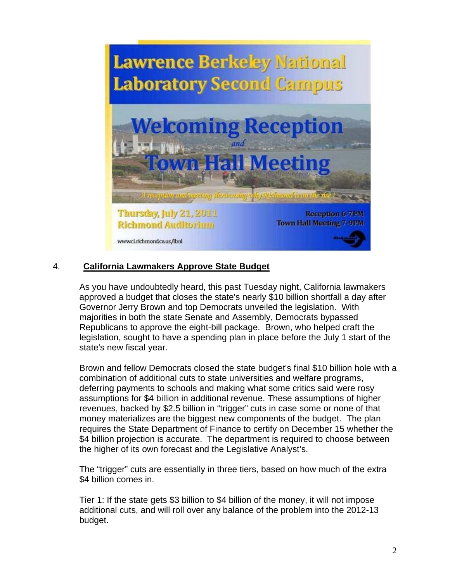

# 4. **California Lawmakers Approve State Budget**

As you have undoubtedly heard, this past Tuesday night, California lawmakers approved a budget that closes the state's nearly \$10 billion shortfall a day after Governor Jerry Brown and top Democrats unveiled the legislation. With majorities in both the state Senate and Assembly, Democrats bypassed Republicans to approve the eight-bill package. Brown, who helped craft the legislation, sought to have a spending plan in place before the July 1 start of the state's new fiscal year.

Brown and fellow Democrats closed the state budget's final \$10 billion hole with a combination of additional cuts to state universities and welfare programs, deferring payments to schools and making what some critics said were rosy assumptions for \$4 billion in additional revenue. These assumptions of higher revenues, backed by \$2.5 billion in "trigger" cuts in case some or none of that money materializes are the biggest new components of the budget. The plan requires the State Department of Finance to certify on December 15 whether the \$4 billion projection is accurate. The department is required to choose between the higher of its own forecast and the Legislative Analyst's.

The "trigger" cuts are essentially in three tiers, based on how much of the extra \$4 billion comes in.

Tier 1: If the state gets \$3 billion to \$4 billion of the money, it will not impose additional cuts, and will roll over any balance of the problem into the 2012-13 budget.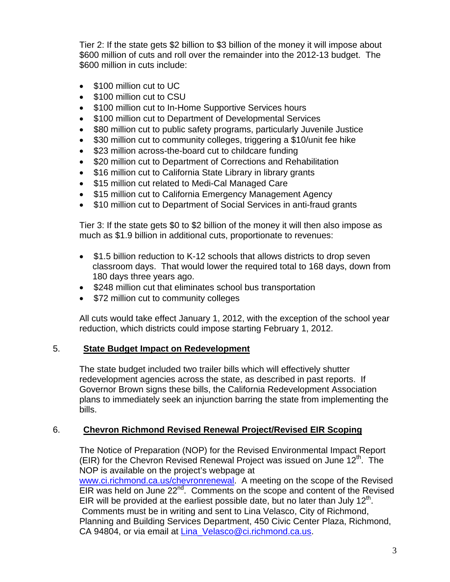Tier 2: If the state gets \$2 billion to \$3 billion of the money it will impose about \$600 million of cuts and roll over the remainder into the 2012-13 budget. The \$600 million in cuts include:

- \$100 million cut to UC
- \$100 million cut to CSU
- \$100 million cut to In-Home Supportive Services hours
- \$100 million cut to Department of Developmental Services
- \$80 million cut to public safety programs, particularly Juvenile Justice
- \$30 million cut to community colleges, triggering a \$10/unit fee hike
- \$23 million across-the-board cut to childcare funding
- \$20 million cut to Department of Corrections and Rehabilitation
- \$16 million cut to California State Library in library grants
- \$15 million cut related to Medi-Cal Managed Care
- \$15 million cut to California Emergency Management Agency
- \$10 million cut to Department of Social Services in anti-fraud grants

Tier 3: If the state gets \$0 to \$2 billion of the money it will then also impose as much as \$1.9 billion in additional cuts, proportionate to revenues:

- \$1.5 billion reduction to K-12 schools that allows districts to drop seven classroom days. That would lower the required total to 168 days, down from 180 days three years ago.
- \$248 million cut that eliminates school bus transportation
- \$72 million cut to community colleges

All cuts would take effect January 1, 2012, with the exception of the school year reduction, which districts could impose starting February 1, 2012.

# 5. **State Budget Impact on Redevelopment**

The state budget included two trailer bills which will effectively shutter redevelopment agencies across the state, as described in past reports. If Governor Brown signs these bills, the California Redevelopment Association plans to immediately seek an injunction barring the state from implementing the bills.

# 6. **Chevron Richmond Revised Renewal Project/Revised EIR Scoping**

The Notice of Preparation (NOP) for the Revised Environmental Impact Report (EIR) for the Chevron Revised Renewal Project was issued on June  $12<sup>th</sup>$ . The NOP is available on the project's webpage at

[www.ci.richmond.ca.us/chevronrenewal.](https://owa.ci.richmond.ca.us/exchweb/bin/redir.asp?URL=http://www.ci.richmond.ca.us/chevronrenewal) A meeting on the scope of the Revised EIR was held on June  $22^{nd}$ . Comments on the scope and content of the Revised EIR will be provided at the earliest possible date, but no later than July  $12<sup>th</sup>$ . Comments must be in writing and sent to Lina Velasco, City of Richmond, Planning and Building Services Department, 450 Civic Center Plaza, Richmond, CA 94804, or via email at [Lina\\_Velasco@ci.richmond.ca.us.](mailto:Lina_Velasco@ci.richmond.ca.us)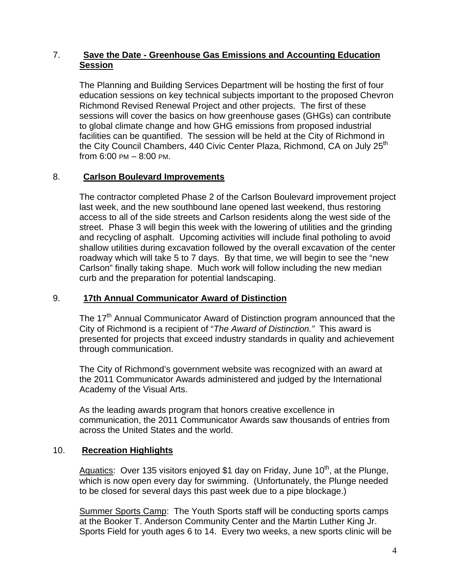# 7. **Save the Date - Greenhouse Gas Emissions and Accounting Education Session**

The Planning and Building Services Department will be hosting the first of four education sessions on key technical subjects important to the proposed Chevron Richmond Revised Renewal Project and other projects. The first of these sessions will cover the basics on how greenhouse gases (GHGs) can contribute to global climate change and how GHG emissions from proposed industrial facilities can be quantified. The session will be held at the City of Richmond in the City Council Chambers, 440 Civic Center Plaza, Richmond, CA on July 25<sup>th</sup> from 6:00 PM – 8:00 PM.

#### 8. **Carlson Boulevard Improvements**

The contractor completed Phase 2 of the Carlson Boulevard improvement project last week, and the new southbound lane opened last weekend, thus restoring access to all of the side streets and Carlson residents along the west side of the street. Phase 3 will begin this week with the lowering of utilities and the grinding and recycling of asphalt. Upcoming activities will include final potholing to avoid shallow utilities during excavation followed by the overall excavation of the center roadway which will take 5 to 7 days. By that time, we will begin to see the "new Carlson" finally taking shape. Much work will follow including the new median curb and the preparation for potential landscaping.

#### 9. **17th Annual Communicator Award of Distinction**

The 17<sup>th</sup> Annual Communicator Award of Distinction program announced that the City of Richmond is a recipient of "*The Award of Distinction."* This award is presented for projects that exceed industry standards in quality and achievement through communication.

The City of Richmond's government website was recognized with an award at the 2011 Communicator Awards administered and judged by the International Academy of the Visual Arts.

As the leading awards program that honors creative excellence in communication, the 2011 Communicator Awards saw thousands of entries from across the United States and the world.

# 10. **Recreation Highlights**

Aquatics: Over 135 visitors enjoyed \$1 day on Friday, June  $10<sup>th</sup>$ , at the Plunge, which is now open every day for swimming. (Unfortunately, the Plunge needed to be closed for several days this past week due to a pipe blockage.)

Summer Sports Camp: The Youth Sports staff will be conducting sports camps at the Booker T. Anderson Community Center and the Martin Luther King Jr. Sports Field for youth ages 6 to 14. Every two weeks, a new sports clinic will be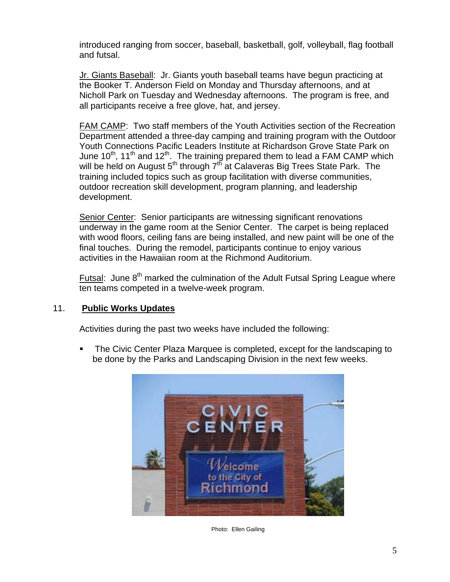introduced ranging from soccer, baseball, basketball, golf, volleyball, flag football and futsal.

Jr. Giants Baseball: Jr. Giants youth baseball teams have begun practicing at the Booker T. Anderson Field on Monday and Thursday afternoons, and at Nicholl Park on Tuesday and Wednesday afternoons. The program is free, and all participants receive a free glove, hat, and jersey.

FAM CAMP: Two staff members of the Youth Activities section of the Recreation Department attended a three-day camping and training program with the Outdoor Youth Connections Pacific Leaders Institute at Richardson Grove State Park on June  $10^{th}$ ,  $11^{th}$  and  $12^{th}$ . The training prepared them to lead a FAM CAMP which will be held on August  $5<sup>th</sup>$  through  $7<sup>th</sup>$  at Calaveras Big Trees State Park. The training included topics such as group facilitation with diverse communities, outdoor recreation skill development, program planning, and leadership development.

Senior Center: Senior participants are witnessing significant renovations underway in the game room at the Senior Center. The carpet is being replaced with wood floors, ceiling fans are being installed, and new paint will be one of the final touches. During the remodel, participants continue to enjoy various activities in the Hawaiian room at the Richmond Auditorium.

Futsal: June  $8<sup>th</sup>$  marked the culmination of the Adult Futsal Spring League where ten teams competed in a twelve-week program.

#### 11. **Public Works Updates**

Activities during the past two weeks have included the following:

 The Civic Center Plaza Marquee is completed, except for the landscaping to be done by the Parks and Landscaping Division in the next few weeks.



Photo: Ellen Gailing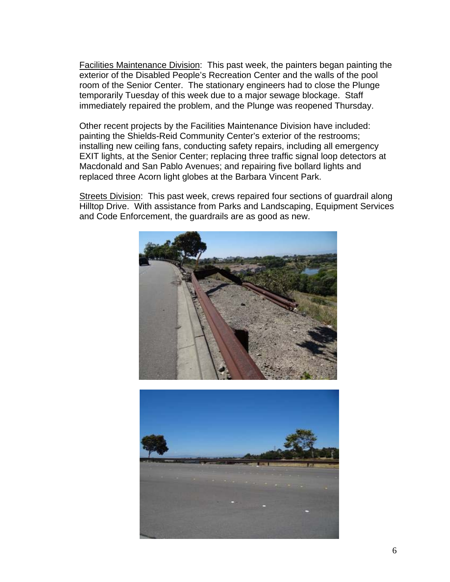Facilities Maintenance Division: This past week, the painters began painting the exterior of the Disabled People's Recreation Center and the walls of the pool room of the Senior Center. The stationary engineers had to close the Plunge temporarily Tuesday of this week due to a major sewage blockage. Staff immediately repaired the problem, and the Plunge was reopened Thursday.

Other recent projects by the Facilities Maintenance Division have included: painting the Shields-Reid Community Center's exterior of the restrooms; installing new ceiling fans, conducting safety repairs, including all emergency EXIT lights, at the Senior Center; replacing three traffic signal loop detectors at Macdonald and San Pablo Avenues; and repairing five bollard lights and replaced three Acorn light globes at the Barbara Vincent Park.

Streets Division: This past week, crews repaired four sections of guardrail along Hilltop Drive. With assistance from Parks and Landscaping, Equipment Services and Code Enforcement, the guardrails are as good as new.



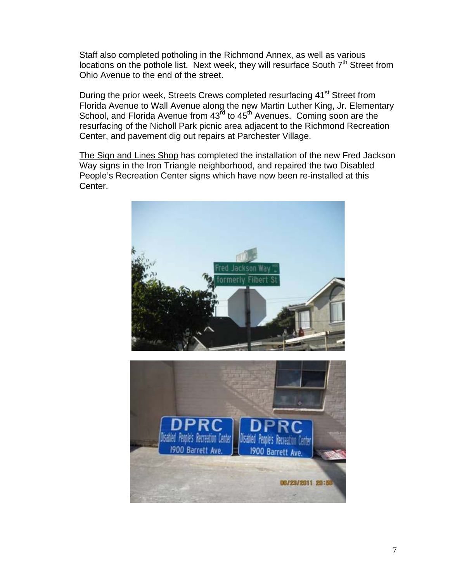Staff also completed potholing in the Richmond Annex, as well as various locations on the pothole list. Next week, they will resurface South  $7<sup>th</sup>$  Street from Ohio Avenue to the end of the street.

During the prior week, Streets Crews completed resurfacing 41<sup>st</sup> Street from Florida Avenue to Wall Avenue along the new Martin Luther King, Jr. Elementary School, and Florida Avenue from  $43^{\bar{r}d}$  to  $45^{\bar{t}h}$  Avenues. Coming soon are the resurfacing of the Nicholl Park picnic area adjacent to the Richmond Recreation Center, and pavement dig out repairs at Parchester Village.

The Sign and Lines Shop has completed the installation of the new Fred Jackson Way signs in the Iron Triangle neighborhood, and repaired the two Disabled People's Recreation Center signs which have now been re-installed at this Center.